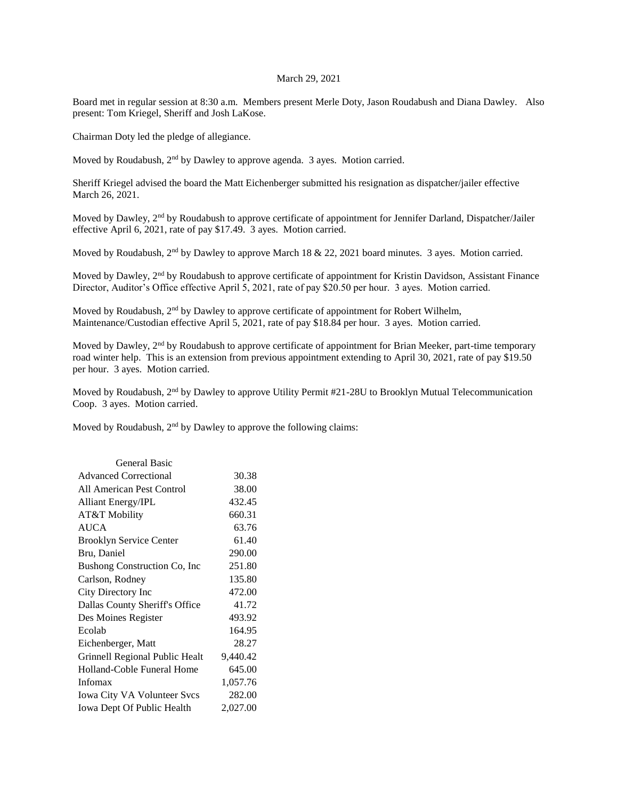## March 29, 2021

Board met in regular session at 8:30 a.m. Members present Merle Doty, Jason Roudabush and Diana Dawley. Also present: Tom Kriegel, Sheriff and Josh LaKose.

Chairman Doty led the pledge of allegiance.

Moved by Roudabush, 2<sup>nd</sup> by Dawley to approve agenda. 3 ayes. Motion carried.

Sheriff Kriegel advised the board the Matt Eichenberger submitted his resignation as dispatcher/jailer effective March 26, 2021.

Moved by Dawley, 2<sup>nd</sup> by Roudabush to approve certificate of appointment for Jennifer Darland, Dispatcher/Jailer effective April 6, 2021, rate of pay \$17.49. 3 ayes. Motion carried.

Moved by Roudabush, 2<sup>nd</sup> by Dawley to approve March 18 & 22, 2021 board minutes. 3 ayes. Motion carried.

Moved by Dawley, 2<sup>nd</sup> by Roudabush to approve certificate of appointment for Kristin Davidson, Assistant Finance Director, Auditor's Office effective April 5, 2021, rate of pay \$20.50 per hour. 3 ayes. Motion carried.

Moved by Roudabush, 2<sup>nd</sup> by Dawley to approve certificate of appointment for Robert Wilhelm, Maintenance/Custodian effective April 5, 2021, rate of pay \$18.84 per hour. 3 ayes. Motion carried.

Moved by Dawley, 2<sup>nd</sup> by Roudabush to approve certificate of appointment for Brian Meeker, part-time temporary road winter help. This is an extension from previous appointment extending to April 30, 2021, rate of pay \$19.50 per hour. 3 ayes. Motion carried.

Moved by Roudabush, 2<sup>nd</sup> by Dawley to approve Utility Permit #21-28U to Brooklyn Mutual Telecommunication Coop. 3 ayes. Motion carried.

Moved by Roudabush,  $2<sup>nd</sup>$  by Dawley to approve the following claims:

| General Basic                  |          |
|--------------------------------|----------|
| <b>Advanced Correctional</b>   | 30.38    |
| All American Pest Control      | 38.00    |
| <b>Alliant Energy/IPL</b>      | 432.45   |
| AT&T Mobility                  | 660.31   |
| <b>AUCA</b>                    | 63.76    |
| <b>Brooklyn Service Center</b> | 61.40    |
| Bru, Daniel                    | 290.00   |
| Bushong Construction Co, Inc.  | 251.80   |
| Carlson, Rodney                | 135.80   |
| City Directory Inc             | 472.00   |
| Dallas County Sheriff's Office | 41.72    |
| Des Moines Register            | 493.92   |
| Ecolab                         | 164.95   |
| Eichenberger, Matt             | 28.27    |
| Grinnell Regional Public Healt | 9,440.42 |
| Holland-Coble Funeral Home     | 645.00   |
| Infomax                        | 1,057.76 |
| Iowa City VA Volunteer Svcs    | 282.00   |
| Iowa Dept Of Public Health     | 2,027.00 |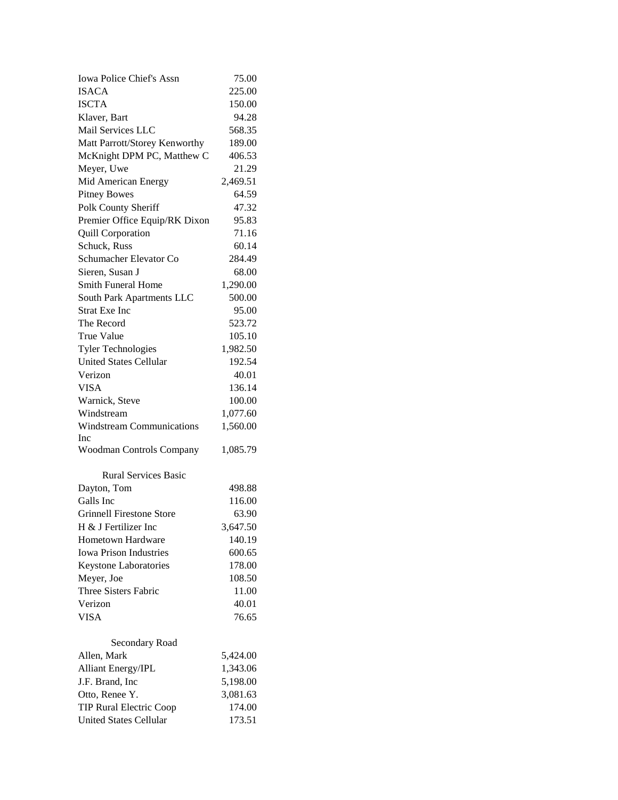| Iowa Police Chief's Assn         | 75.00    |
|----------------------------------|----------|
| <b>ISACA</b>                     | 225.00   |
| <b>ISCTA</b>                     | 150.00   |
| Klaver, Bart                     | 94.28    |
| Mail Services LLC                | 568.35   |
| Matt Parrott/Storey Kenworthy    | 189.00   |
| McKnight DPM PC, Matthew C       | 406.53   |
| Meyer, Uwe                       | 21.29    |
| Mid American Energy              | 2,469.51 |
| <b>Pitney Bowes</b>              | 64.59    |
| Polk County Sheriff              | 47.32    |
| Premier Office Equip/RK Dixon    | 95.83    |
| <b>Quill Corporation</b>         | 71.16    |
| Schuck, Russ                     | 60.14    |
| Schumacher Elevator Co           | 284.49   |
| Sieren, Susan J                  | 68.00    |
| Smith Funeral Home               | 1,290.00 |
| South Park Apartments LLC        | 500.00   |
| <b>Strat Exe Inc</b>             | 95.00    |
| The Record                       | 523.72   |
| <b>True Value</b>                | 105.10   |
| <b>Tyler Technologies</b>        | 1,982.50 |
| <b>United States Cellular</b>    | 192.54   |
| Verizon                          | 40.01    |
| <b>VISA</b>                      | 136.14   |
| Warnick, Steve                   | 100.00   |
| Windstream                       | 1,077.60 |
| <b>Windstream Communications</b> | 1,560.00 |
| Inc                              |          |
| Woodman Controls Company         | 1,085.79 |
| <b>Rural Services Basic</b>      |          |
| Dayton, Tom                      | 498.88   |
| Galls Inc                        | 116.00   |
| <b>Grinnell Firestone Store</b>  | 63.90    |
| H & J Fertilizer Inc             | 3,647.50 |
| Hometown Hardware                | 140.19   |
| <b>Iowa Prison Industries</b>    | 600.65   |
| Keystone Laboratories            | 178.00   |
| Meyer, Joe                       | 108.50   |
| Three Sisters Fabric             | 11.00    |
| Verizon                          | 40.01    |
| <b>VISA</b>                      | 76.65    |
| Secondary Road                   |          |
| Allen, Mark                      | 5,424.00 |
| Alliant Energy/IPL               | 1,343.06 |
| J.F. Brand, Inc.                 | 5,198.00 |
| Otto, Renee Y.                   | 3,081.63 |
| <b>TIP Rural Electric Coop</b>   | 174.00   |
| <b>United States Cellular</b>    | 173.51   |